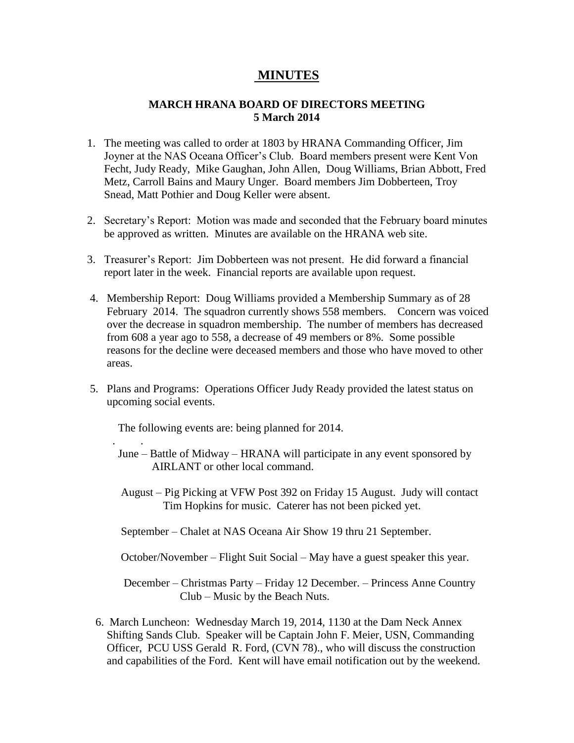## **MINUTES**

## **MARCH HRANA BOARD OF DIRECTORS MEETING 5 March 2014**

- 1. The meeting was called to order at 1803 by HRANA Commanding Officer, Jim Joyner at the NAS Oceana Officer's Club. Board members present were Kent Von Fecht, Judy Ready, Mike Gaughan, John Allen, Doug Williams, Brian Abbott, Fred Metz, Carroll Bains and Maury Unger. Board members Jim Dobberteen, Troy Snead, Matt Pothier and Doug Keller were absent.
- 2. Secretary's Report: Motion was made and seconded that the February board minutes be approved as written. Minutes are available on the HRANA web site.
- 3. Treasurer's Report: Jim Dobberteen was not present. He did forward a financial report later in the week. Financial reports are available upon request.
- 4. Membership Report: Doug Williams provided a Membership Summary as of 28 February 2014. The squadron currently shows 558 members. Concern was voiced over the decrease in squadron membership. The number of members has decreased from 608 a year ago to 558, a decrease of 49 members or 8%. Some possible reasons for the decline were deceased members and those who have moved to other areas.
- 5. Plans and Programs: Operations Officer Judy Ready provided the latest status on upcoming social events.

The following events are: being planned for 2014.

. .

- June Battle of Midway HRANA will participate in any event sponsored by AIRLANT or other local command.
- August Pig Picking at VFW Post 392 on Friday 15 August. Judy will contact Tim Hopkins for music. Caterer has not been picked yet.
- September Chalet at NAS Oceana Air Show 19 thru 21 September.

October/November – Flight Suit Social – May have a guest speaker this year.

 December – Christmas Party – Friday 12 December. – Princess Anne Country Club – Music by the Beach Nuts.

 6. March Luncheon: Wednesday March 19, 2014, 1130 at the Dam Neck Annex Shifting Sands Club. Speaker will be Captain John F. Meier, USN, Commanding Officer, PCU USS Gerald R. Ford, (CVN 78)., who will discuss the construction and capabilities of the Ford. Kent will have email notification out by the weekend.